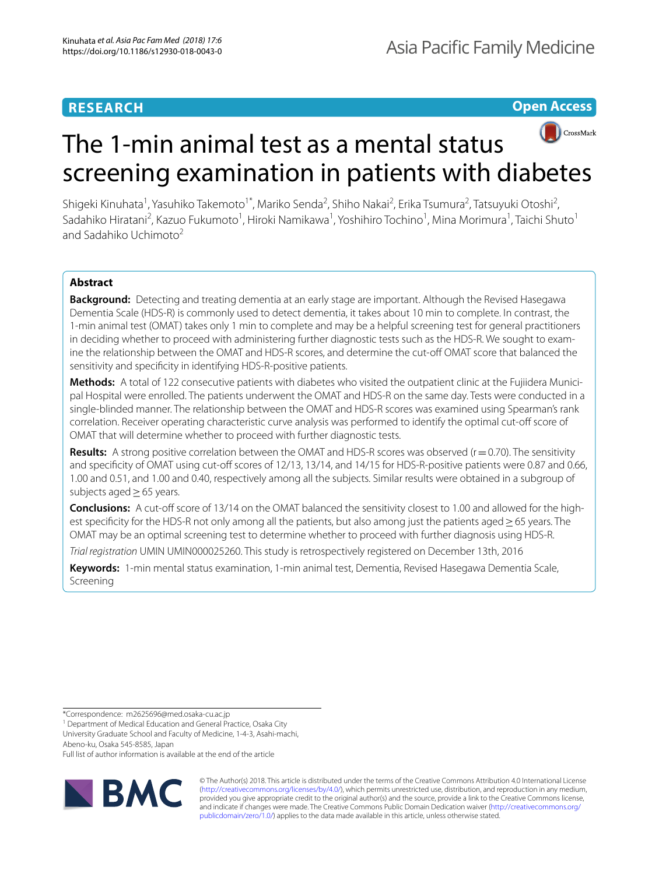**Open Access**



# The 1-min animal test as a mental status screening examination in patients with diabetes

Shigeki Kinuhata<sup>1</sup>, Yasuhiko Takemoto<sup>1\*</sup>, Mariko Senda<sup>2</sup>, Shiho Nakai<sup>2</sup>, Erika Tsumura<sup>2</sup>, Tatsuyuki Otoshi<sup>2</sup>, Sadahiko Hiratani<sup>2</sup>, Kazuo Fukumoto<sup>1</sup>, Hiroki Namikawa<sup>1</sup>, Yoshihiro Tochino<sup>1</sup>, Mina Morimura<sup>1</sup>, Taichi Shuto<sup>1</sup> and Sadahiko Uchimoto<sup>2</sup>

## **Abstract**

**Background:** Detecting and treating dementia at an early stage are important. Although the Revised Hasegawa Dementia Scale (HDS-R) is commonly used to detect dementia, it takes about 10 min to complete. In contrast, the 1-min animal test (OMAT) takes only 1 min to complete and may be a helpful screening test for general practitioners in deciding whether to proceed with administering further diagnostic tests such as the HDS-R. We sought to examine the relationship between the OMAT and HDS-R scores, and determine the cut-of OMAT score that balanced the sensitivity and specifcity in identifying HDS-R-positive patients.

**Methods:** A total of 122 consecutive patients with diabetes who visited the outpatient clinic at the Fujiidera Municipal Hospital were enrolled. The patients underwent the OMAT and HDS-R on the same day. Tests were conducted in a single-blinded manner. The relationship between the OMAT and HDS-R scores was examined using Spearman's rank correlation. Receiver operating characteristic curve analysis was performed to identify the optimal cut-of score of OMAT that will determine whether to proceed with further diagnostic tests.

**Results:** A strong positive correlation between the OMAT and HDS-R scores was observed (r = 0.70). The sensitivity and specificity of OMAT using cut-off scores of 12/13, 13/14, and 14/15 for HDS-R-positive patients were 0.87 and 0.66, 1.00 and 0.51, and 1.00 and 0.40, respectively among all the subjects. Similar results were obtained in a subgroup of subjects aged > 65 years.

**Conclusions:** A cut-of score of 13/14 on the OMAT balanced the sensitivity closest to 1.00 and allowed for the highest specificity for the HDS-R not only among all the patients, but also among just the patients aged ≥65 years. The OMAT may be an optimal screening test to determine whether to proceed with further diagnosis using HDS-R.

*Trial registration* UMIN UMIN000025260. This study is retrospectively registered on December 13th, 2016

**Keywords:** 1-min mental status examination, 1-min animal test, Dementia, Revised Hasegawa Dementia Scale, Screening

<sup>1</sup> Department of Medical Education and General Practice, Osaka City

Abeno-ku, Osaka 545-8585, Japan

Full list of author information is available at the end of the article



© The Author(s) 2018. This article is distributed under the terms of the Creative Commons Attribution 4.0 International License [\(http://creativecommons.org/licenses/by/4.0/\)](http://creativecommons.org/licenses/by/4.0/), which permits unrestricted use, distribution, and reproduction in any medium, provided you give appropriate credit to the original author(s) and the source, provide a link to the Creative Commons license, and indicate if changes were made. The Creative Commons Public Domain Dedication waiver ([http://creativecommons.org/](http://creativecommons.org/publicdomain/zero/1.0/) [publicdomain/zero/1.0/](http://creativecommons.org/publicdomain/zero/1.0/)) applies to the data made available in this article, unless otherwise stated.

<sup>\*</sup>Correspondence: m2625696@med.osaka-cu.ac.jp 1

University Graduate School and Faculty of Medicine, 1-4-3, Asahi-machi,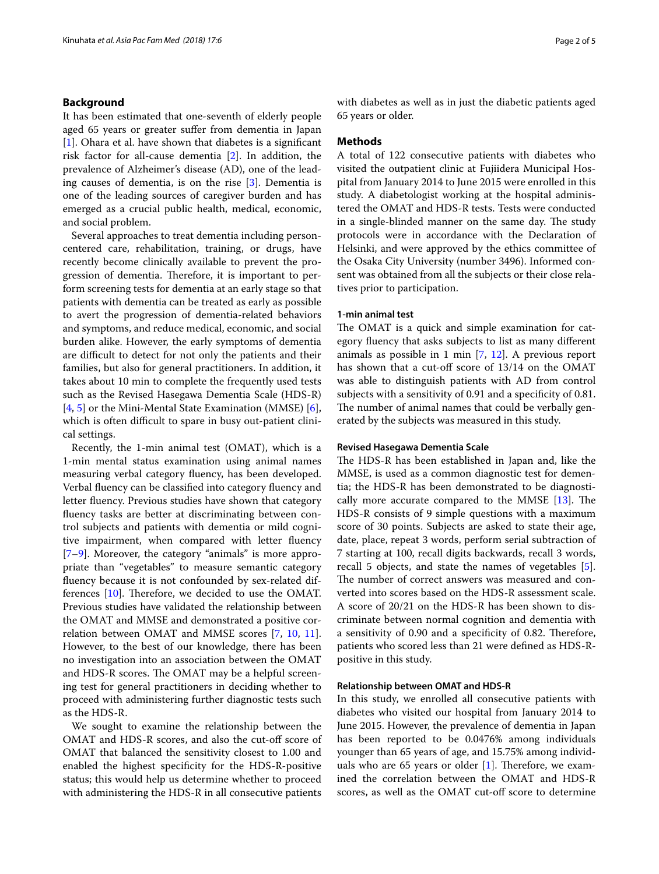## **Background**

It has been estimated that one-seventh of elderly people aged 65 years or greater sufer from dementia in Japan [[1\]](#page-4-0). Ohara et al. have shown that diabetes is a signifcant risk factor for all-cause dementia [\[2](#page-4-1)]. In addition, the prevalence of Alzheimer's disease (AD), one of the leading causes of dementia, is on the rise [\[3](#page-4-2)]. Dementia is one of the leading sources of caregiver burden and has emerged as a crucial public health, medical, economic, and social problem.

Several approaches to treat dementia including personcentered care, rehabilitation, training, or drugs, have recently become clinically available to prevent the progression of dementia. Therefore, it is important to perform screening tests for dementia at an early stage so that patients with dementia can be treated as early as possible to avert the progression of dementia-related behaviors and symptoms, and reduce medical, economic, and social burden alike. However, the early symptoms of dementia are difficult to detect for not only the patients and their families, but also for general practitioners. In addition, it takes about 10 min to complete the frequently used tests such as the Revised Hasegawa Dementia Scale (HDS-R) [[4,](#page-4-3) [5](#page-4-4)] or the Mini-Mental State Examination (MMSE) [\[6](#page-4-5)], which is often difficult to spare in busy out-patient clinical settings.

Recently, the 1-min animal test (OMAT), which is a 1-min mental status examination using animal names measuring verbal category fuency, has been developed. Verbal fuency can be classifed into category fuency and letter fuency. Previous studies have shown that category fuency tasks are better at discriminating between control subjects and patients with dementia or mild cognitive impairment, when compared with letter fuency [[7–](#page-4-6)[9\]](#page-4-7). Moreover, the category "animals" is more appropriate than "vegetables" to measure semantic category fuency because it is not confounded by sex-related differences  $[10]$  $[10]$ . Therefore, we decided to use the OMAT. Previous studies have validated the relationship between the OMAT and MMSE and demonstrated a positive correlation between OMAT and MMSE scores [\[7](#page-4-6), [10](#page-4-8), [11](#page-4-9)]. However, to the best of our knowledge, there has been no investigation into an association between the OMAT and HDS-R scores. The OMAT may be a helpful screening test for general practitioners in deciding whether to proceed with administering further diagnostic tests such as the HDS-R.

We sought to examine the relationship between the OMAT and HDS-R scores, and also the cut-off score of OMAT that balanced the sensitivity closest to 1.00 and enabled the highest specifcity for the HDS-R-positive status; this would help us determine whether to proceed with administering the HDS-R in all consecutive patients with diabetes as well as in just the diabetic patients aged 65 years or older.

## **Methods**

A total of 122 consecutive patients with diabetes who visited the outpatient clinic at Fujiidera Municipal Hospital from January 2014 to June 2015 were enrolled in this study. A diabetologist working at the hospital administered the OMAT and HDS-R tests. Tests were conducted in a single-blinded manner on the same day. The study protocols were in accordance with the Declaration of Helsinki, and were approved by the ethics committee of the Osaka City University (number 3496). Informed consent was obtained from all the subjects or their close relatives prior to participation.

## **1‑min animal test**

The OMAT is a quick and simple examination for category fuency that asks subjects to list as many diferent animals as possible in 1 min [[7,](#page-4-6) [12\]](#page-4-10). A previous report has shown that a cut-off score of 13/14 on the OMAT was able to distinguish patients with AD from control subjects with a sensitivity of 0.91 and a specifcity of 0.81. The number of animal names that could be verbally generated by the subjects was measured in this study.

## **Revised Hasegawa Dementia Scale**

The HDS-R has been established in Japan and, like the MMSE, is used as a common diagnostic test for dementia; the HDS-R has been demonstrated to be diagnostically more accurate compared to the MMSE  $[13]$  $[13]$  $[13]$ . The HDS-R consists of 9 simple questions with a maximum score of 30 points. Subjects are asked to state their age, date, place, repeat 3 words, perform serial subtraction of 7 starting at 100, recall digits backwards, recall 3 words, recall 5 objects, and state the names of vegetables [\[5](#page-4-4)]. The number of correct answers was measured and converted into scores based on the HDS-R assessment scale. A score of 20/21 on the HDS-R has been shown to discriminate between normal cognition and dementia with a sensitivity of 0.90 and a specificity of 0.82. Therefore, patients who scored less than 21 were defned as HDS-Rpositive in this study.

## **Relationship between OMAT and HDS‑R**

In this study, we enrolled all consecutive patients with diabetes who visited our hospital from January 2014 to June 2015. However, the prevalence of dementia in Japan has been reported to be 0.0476% among individuals younger than 65 years of age, and 15.75% among individuals who are 65 years or older  $[1]$  $[1]$ . Therefore, we examined the correlation between the OMAT and HDS-R scores, as well as the OMAT cut-of score to determine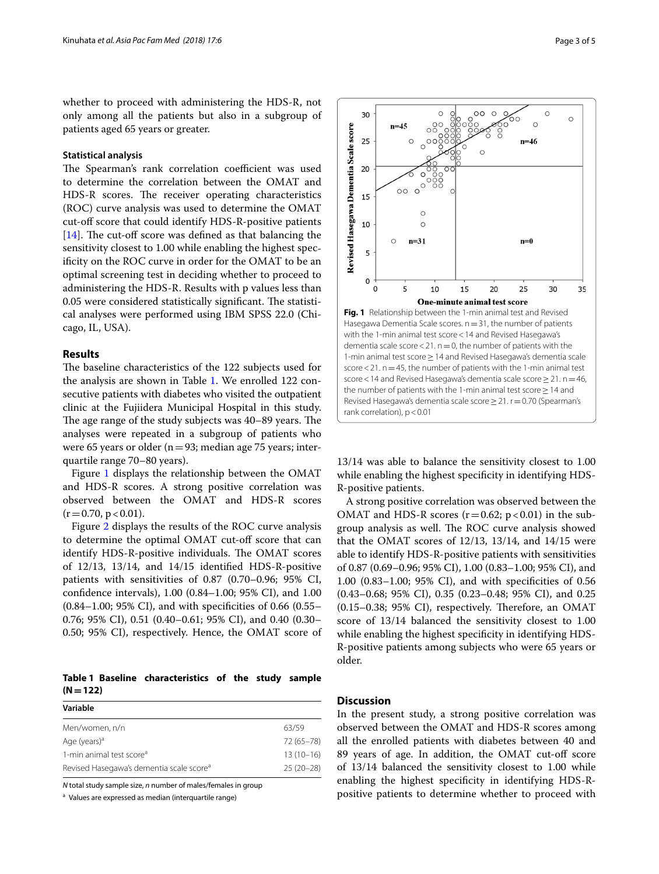whether to proceed with administering the HDS-R, not only among all the patients but also in a subgroup of patients aged 65 years or greater.

## **Statistical analysis**

The Spearman's rank correlation coefficient was used to determine the correlation between the OMAT and HDS-R scores. The receiver operating characteristics (ROC) curve analysis was used to determine the OMAT cut-off score that could identify HDS-R-positive patients [ $14$ ]. The cut-off score was defined as that balancing the sensitivity closest to 1.00 while enabling the highest specifcity on the ROC curve in order for the OMAT to be an optimal screening test in deciding whether to proceed to administering the HDS-R. Results with p values less than 0.05 were considered statistically significant. The statistical analyses were performed using IBM SPSS 22.0 (Chicago, IL, USA).

## **Results**

The baseline characteristics of the 122 subjects used for the analysis are shown in Table [1.](#page-2-0) We enrolled 122 consecutive patients with diabetes who visited the outpatient clinic at the Fujiidera Municipal Hospital in this study. The age range of the study subjects was  $40-89$  years. The analyses were repeated in a subgroup of patients who were 65 years or older ( $n=93$ ; median age 75 years; interquartile range 70–80 years).

Figure [1](#page-2-1) displays the relationship between the OMAT and HDS-R scores. A strong positive correlation was observed between the OMAT and HDS-R scores  $(r=0.70, p<0.01).$ 

Figure [2](#page-3-0) displays the results of the ROC curve analysis to determine the optimal OMAT cut-of score that can identify HDS-R-positive individuals. The OMAT scores of 12/13, 13/14, and 14/15 identifed HDS-R-positive patients with sensitivities of 0.87 (0.70–0.96; 95% CI, confdence intervals), 1.00 (0.84–1.00; 95% CI), and 1.00 (0.84–1.00; 95% CI), and with specifcities of 0.66 (0.55– 0.76; 95% CI), 0.51 (0.40–0.61; 95% CI), and 0.40 (0.30– 0.50; 95% CI), respectively. Hence, the OMAT score of

<span id="page-2-0"></span>**Table 1 Baseline characteristics of the study sample (N=122)**

| Variable                                             |             |
|------------------------------------------------------|-------------|
| Men/women, n/n                                       | 63/59       |
| Age (years) <sup>a</sup>                             | 72 (65-78)  |
| 1-min animal test score <sup>a</sup>                 | $13(10-16)$ |
| Revised Hasegawa's dementia scale score <sup>a</sup> | $25(20-28)$ |

*N* total study sample size, *n* number of males/females in group

<sup>a</sup> Values are expressed as median (interquartile range)



<span id="page-2-1"></span>13/14 was able to balance the sensitivity closest to 1.00 while enabling the highest specificity in identifying HDS-R-positive patients.

A strong positive correlation was observed between the OMAT and HDS-R scores ( $r=0.62$ ;  $p<0.01$ ) in the subgroup analysis as well. The ROC curve analysis showed that the OMAT scores of 12/13, 13/14, and 14/15 were able to identify HDS-R-positive patients with sensitivities of 0.87 (0.69–0.96; 95% CI), 1.00 (0.83–1.00; 95% CI), and 1.00 (0.83–1.00; 95% CI), and with specifcities of 0.56 (0.43–0.68; 95% CI), 0.35 (0.23–0.48; 95% CI), and 0.25  $(0.15-0.38; 95\% \text{ CI})$ , respectively. Therefore, an OMAT score of 13/14 balanced the sensitivity closest to 1.00 while enabling the highest specificity in identifying HDS-R-positive patients among subjects who were 65 years or older.

## **Discussion**

In the present study, a strong positive correlation was observed between the OMAT and HDS-R scores among all the enrolled patients with diabetes between 40 and 89 years of age. In addition, the OMAT cut-of score of 13/14 balanced the sensitivity closest to 1.00 while enabling the highest specifcity in identifying HDS-Rpositive patients to determine whether to proceed with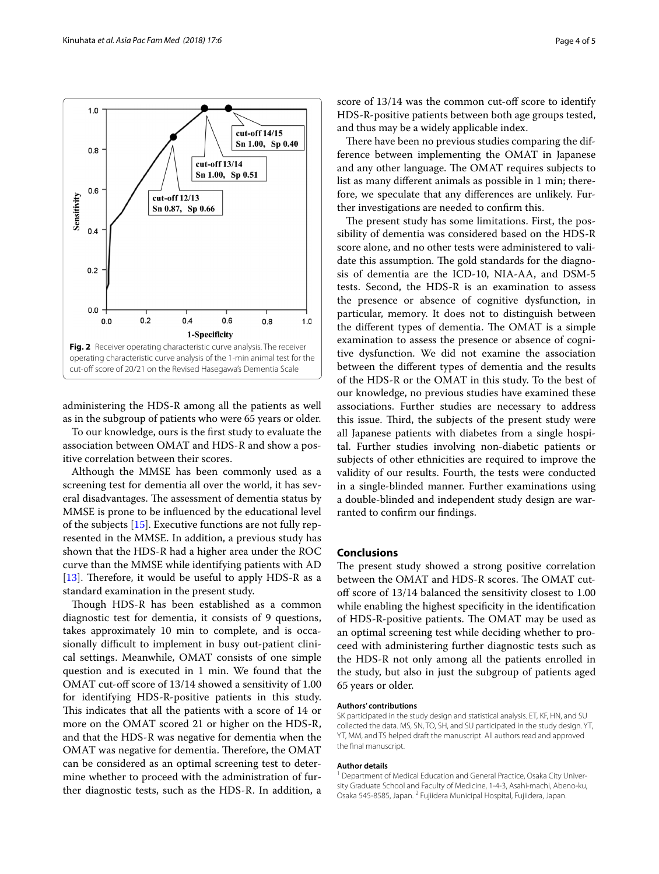<span id="page-3-0"></span>administering the HDS-R among all the patients as well as in the subgroup of patients who were 65 years or older.

To our knowledge, ours is the frst study to evaluate the association between OMAT and HDS-R and show a positive correlation between their scores.

Although the MMSE has been commonly used as a screening test for dementia all over the world, it has several disadvantages. The assessment of dementia status by MMSE is prone to be infuenced by the educational level of the subjects [\[15](#page-4-13)]. Executive functions are not fully represented in the MMSE. In addition, a previous study has shown that the HDS-R had a higher area under the ROC curve than the MMSE while identifying patients with AD [ $13$ ]. Therefore, it would be useful to apply HDS-R as a standard examination in the present study.

Though HDS-R has been established as a common diagnostic test for dementia, it consists of 9 questions, takes approximately 10 min to complete, and is occasionally difficult to implement in busy out-patient clinical settings. Meanwhile, OMAT consists of one simple question and is executed in 1 min. We found that the OMAT cut-of score of 13/14 showed a sensitivity of 1.00 for identifying HDS-R-positive patients in this study. This indicates that all the patients with a score of 14 or more on the OMAT scored 21 or higher on the HDS-R, and that the HDS-R was negative for dementia when the OMAT was negative for dementia. Therefore, the OMAT can be considered as an optimal screening test to determine whether to proceed with the administration of further diagnostic tests, such as the HDS-R. In addition, a score of 13/14 was the common cut-off score to identify HDS-R-positive patients between both age groups tested, and thus may be a widely applicable index.

There have been no previous studies comparing the difference between implementing the OMAT in Japanese and any other language. The OMAT requires subjects to list as many diferent animals as possible in 1 min; therefore, we speculate that any diferences are unlikely. Further investigations are needed to confrm this.

The present study has some limitations. First, the possibility of dementia was considered based on the HDS-R score alone, and no other tests were administered to validate this assumption. The gold standards for the diagnosis of dementia are the ICD-10, NIA-AA, and DSM-5 tests. Second, the HDS-R is an examination to assess the presence or absence of cognitive dysfunction, in particular, memory. It does not to distinguish between the different types of dementia. The OMAT is a simple examination to assess the presence or absence of cognitive dysfunction. We did not examine the association between the diferent types of dementia and the results of the HDS-R or the OMAT in this study. To the best of our knowledge, no previous studies have examined these associations. Further studies are necessary to address this issue. Third, the subjects of the present study were all Japanese patients with diabetes from a single hospital. Further studies involving non-diabetic patients or subjects of other ethnicities are required to improve the validity of our results. Fourth, the tests were conducted in a single-blinded manner. Further examinations using a double-blinded and independent study design are warranted to confrm our fndings.

## **Conclusions**

The present study showed a strong positive correlation between the OMAT and HDS-R scores. The OMAT cutoff score of 13/14 balanced the sensitivity closest to 1.00 while enabling the highest specificity in the identification of HDS-R-positive patients. The OMAT may be used as an optimal screening test while deciding whether to proceed with administering further diagnostic tests such as the HDS-R not only among all the patients enrolled in the study, but also in just the subgroup of patients aged 65 years or older.

#### **Authors' contributions**

SK participated in the study design and statistical analysis. ET, KF, HN, and SU collected the data. MS, SN, TO, SH, and SU participated in the study design. YT, YT, MM, and TS helped draft the manuscript. All authors read and approved the fnal manuscript.

#### **Author details**

<sup>1</sup> Department of Medical Education and General Practice, Osaka City University Graduate School and Faculty of Medicine, 1-4-3, Asahi-machi, Abeno-ku, Osaka 545-8585, Japan. <sup>2</sup> Fujiidera Municipal Hospital, Fujiidera, Japan.